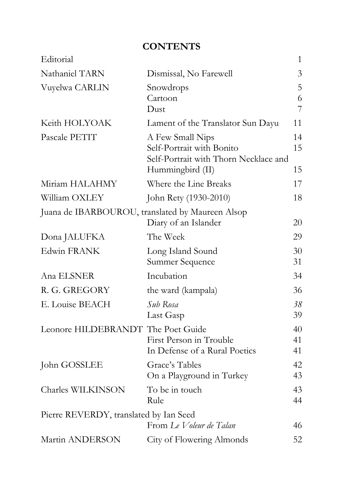## **CONTENTS**

| Editorial                                        |                                                                                                            | 1              |
|--------------------------------------------------|------------------------------------------------------------------------------------------------------------|----------------|
| Nathaniel TARN                                   | Dismissal, No Farewell                                                                                     | 3              |
| Vuyelwa CARLIN                                   | Snowdrops<br>Cartoon<br>Dust                                                                               | 5<br>6<br>7    |
| Keith HOLYOAK                                    | Lament of the Translator Sun Dayu                                                                          | 11             |
| Pascale PETIT                                    | A Few Small Nips<br>Self-Portrait with Bonito<br>Self-Portrait with Thorn Necklace and<br>Hummingbird (II) | 14<br>15<br>15 |
| Miriam HALAHMY                                   | Where the Line Breaks                                                                                      | 17             |
| William OXLEY                                    | John Rety (1930-2010)                                                                                      | 18             |
| Juana de IBARBOUROU, translated by Maureen Alsop | Diary of an Islander                                                                                       | 20             |
| Dona JALUFKA                                     | The Week                                                                                                   | 29             |
| Edwin FRANK                                      | Long Island Sound<br>Summer Sequence                                                                       | 30<br>31       |
| Ana ELSNER                                       | Incubation                                                                                                 | 34             |
| R. G. GREGORY                                    | the ward (kampala)                                                                                         | 36             |
| E. Louise BEACH                                  | Sub Rosa<br>Last Gasp                                                                                      | 38<br>39       |
| Leonore HILDEBRANDT The Poet Guide               | First Person in Trouble<br>In Defense of a Rural Poetics                                                   | 40<br>41<br>41 |
| John GOSSLEE                                     | Grace's Tables<br>On a Playground in Turkey                                                                | 42<br>43       |
| Charles WILKINSON                                | To be in touch<br>Rule                                                                                     | 43<br>44       |
| Pierre REVERDY, translated by Ian Seed           | From Le Voleur de Talan                                                                                    | 46             |
| Martin ANDERSON                                  | City of Flowering Almonds                                                                                  | 52             |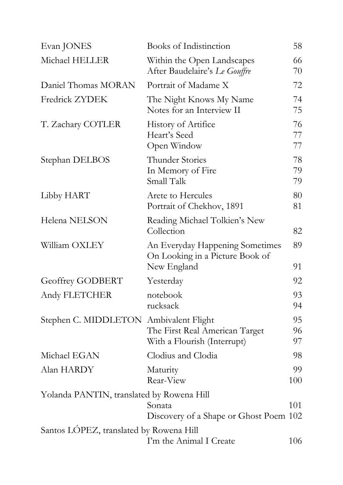| Evan JONES                                | <b>Books of Indistinction</b>                                                     | 58             |
|-------------------------------------------|-----------------------------------------------------------------------------------|----------------|
| Michael HELLER                            | Within the Open Landscapes<br>After Baudelaire's Le Gouffre                       | 66<br>70       |
| Daniel Thomas MORAN                       | Portrait of Madame X                                                              | 72             |
| <b>Fredrick ZYDEK</b>                     | The Night Knows My Name<br>Notes for an Interview II                              | 74<br>75       |
| T. Zachary COTLER                         | History of Artifice<br>Heart's Seed<br>Open Window                                | 76<br>77<br>77 |
| Stephan DELBOS                            | <b>Thunder Stories</b><br>In Memory of Fire<br>Small Talk                         | 78<br>79<br>79 |
| Libby HART                                | Arete to Hercules<br>Portrait of Chekhov, 1891                                    | 80<br>81       |
| Helena NELSON                             | Reading Michael Tolkien's New<br>Collection                                       | 82             |
| William OXLEY                             | An Everyday Happening Sometimes<br>On Looking in a Picture Book of<br>New England | 89<br>91       |
| Geoffrey GODBERT                          | Yesterday                                                                         | 92             |
| Andy FLETCHER                             | notebook<br>rucksack                                                              | 93<br>94       |
| Stephen C. MIDDLETON Ambivalent Flight    | The First Real American Target<br>With a Flourish (Interrupt)                     | 95<br>96<br>97 |
| Michael EGAN                              | Clodius and Clodia                                                                | 98             |
| Alan HARDY                                | Maturity<br>Rear-View                                                             | 99<br>100      |
| Yolanda PANTIN, translated by Rowena Hill |                                                                                   |                |
|                                           | Sonata<br>Discovery of a Shape or Ghost Poem 102                                  | 101            |
| Santos LOPEZ, translated by Rowena Hill   | I'm the Animal I Create                                                           |                |
|                                           |                                                                                   | 106            |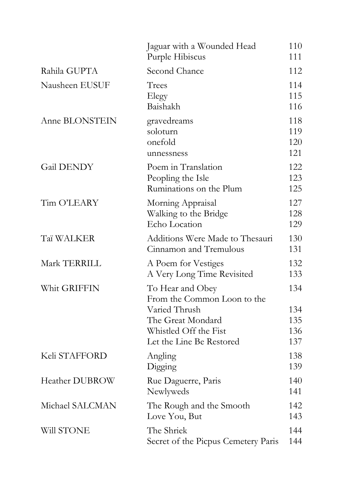|                       | Jaguar with a Wounded Head<br>Purple Hibiscus                       | 110<br>111               |
|-----------------------|---------------------------------------------------------------------|--------------------------|
| Rahila GUPTA          | Second Chance                                                       | 112                      |
| Nausheen EUSUF        | Trees<br>Elegy<br>Baishakh                                          | 114<br>115<br>116        |
| Anne BLONSTEIN        | gravedreams<br>soloturn<br>onefold<br>unnessness                    | 118<br>119<br>120<br>121 |
| Gail DENDY            | Poem in Translation<br>Peopling the Isle<br>Ruminations on the Plum | 122<br>123<br>125        |
| Tim O'LEARY           | Morning Appraisal<br>Walking to the Bridge<br>Echo Location         | 127<br>128<br>129        |
| Taï WALKER            | Additions Were Made to Thesauri<br>Cinnamon and Tremulous           | 130<br>131               |
| Mark TERRILL          | A Poem for Vestiges<br>A Very Long Time Revisited                   | 132<br>133               |
| Whit GRIFFIN          | To Hear and Obey<br>From the Common Loon to the                     | 134                      |
|                       | Varied Thrush                                                       | 134                      |
|                       | The Great Mondard                                                   | 135                      |
|                       | Whistled Off the Fist                                               | 136                      |
|                       | Let the Line Be Restored                                            | 137                      |
| Keli STAFFORD         | Angling<br>Digging                                                  | 138<br>139               |
| <b>Heather DUBROW</b> | Rue Daguerre, Paris<br>Newlyweds                                    | 140<br>141               |
| Michael SALCMAN       | The Rough and the Smooth<br>Love You, But                           | 142<br>143               |
| Will STONE            | The Shriek<br>Secret of the Picpus Cemetery Paris                   | 144<br>144               |